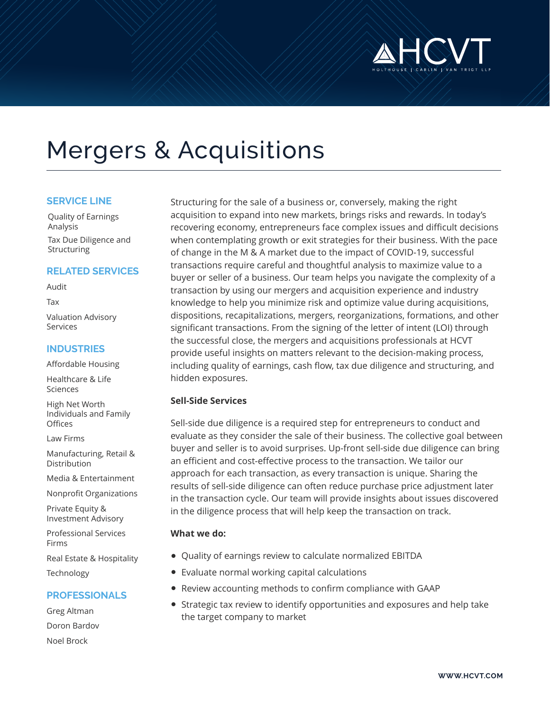

# Mergers & Acquisitions

#### **SERVICE LINE**

Quality of Earnings Analysis Tax Due Diligence and **Structuring** 

### **RELATED SERVICES**

Audit

Tax

Valuation Advisory Services

#### **INDUSTRIES**

Affordable Housing

Healthcare & Life Sciences

High Net Worth Individuals and Family **Offices** 

Law Firms

Manufacturing, Retail & Distribution

Media & Entertainment

Nonprofit Organizations

Private Equity & Investment Advisory

Professional Services Firms

Real Estate & Hospitality Technology

## **PROFESSIONALS**

Greg Altman Doron Bardov Noel Brock

Structuring for the sale of a business or, conversely, making the right acquisition to expand into new markets, brings risks and rewards. In today's recovering economy, entrepreneurs face complex issues and difficult decisions when contemplating growth or exit strategies for their business. With the pace of change in the M & A market due to the impact of COVID-19, successful transactions require careful and thoughtful analysis to maximize value to a buyer or seller of a business. Our team helps you navigate the complexity of a transaction by using our mergers and acquisition experience and industry knowledge to help you minimize risk and optimize value during acquisitions, dispositions, recapitalizations, mergers, reorganizations, formations, and other significant transactions. From the signing of the letter of intent (LOI) through the successful close, the mergers and acquisitions professionals at HCVT provide useful insights on matters relevant to the decision-making process, including quality of earnings, cash flow, tax due diligence and structuring, and hidden exposures.

#### **Sell-Side Services**

Sell-side due diligence is a required step for entrepreneurs to conduct and evaluate as they consider the sale of their business. The collective goal between buyer and seller is to avoid surprises. Up-front sell-side due diligence can bring an efficient and cost-effective process to the transaction. We tailor our approach for each transaction, as every transaction is unique. Sharing the results of sell-side diligence can often reduce purchase price adjustment later in the transaction cycle. Our team will provide insights about issues discovered in the diligence process that will help keep the transaction on track.

#### **What we do:**

- Quality of earnings review to calculate normalized EBITDA
- Evaluate normal working capital calculations
- Review accounting methods to confirm compliance with GAAP
- Strategic tax review to identify opportunities and exposures and help take the target company to market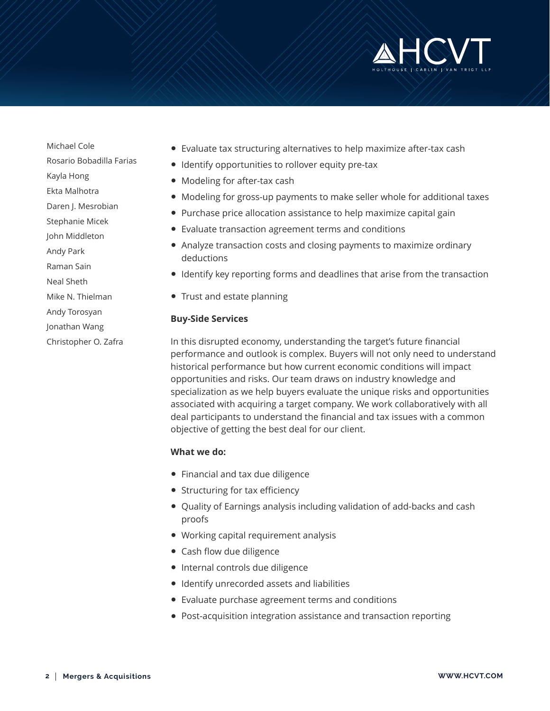

Michael Cole Rosario Bobadilla Farias Kayla Hong Ekta Malhotra Daren J. Mesrobian Stephanie Micek John Middleton Andy Park Raman Sain Neal Sheth Mike N. Thielman Andy Torosyan Jonathan Wang Christopher O. Zafra

- Evaluate tax structuring alternatives to help maximize after-tax cash
- Identify opportunities to rollover equity pre-tax
- Modeling for after-tax cash
- Modeling for gross-up payments to make seller whole for additional taxes
- Purchase price allocation assistance to help maximize capital gain
- Evaluate transaction agreement terms and conditions
- Analyze transaction costs and closing payments to maximize ordinary deductions
- Identify key reporting forms and deadlines that arise from the transaction
- Trust and estate planning

#### **Buy-Side Services**

In this disrupted economy, understanding the target's future financial performance and outlook is complex. Buyers will not only need to understand historical performance but how current economic conditions will impact opportunities and risks. Our team draws on industry knowledge and specialization as we help buyers evaluate the unique risks and opportunities associated with acquiring a target company. We work collaboratively with all deal participants to understand the financial and tax issues with a common objective of getting the best deal for our client.

#### **What we do:**

- Financial and tax due diligence
- Structuring for tax efficiency
- Quality of Earnings analysis including validation of add-backs and cash proofs
- Working capital requirement analysis
- Cash flow due diligence
- Internal controls due diligence
- Identify unrecorded assets and liabilities
- Evaluate purchase agreement terms and conditions
- Post-acquisition integration assistance and transaction reporting